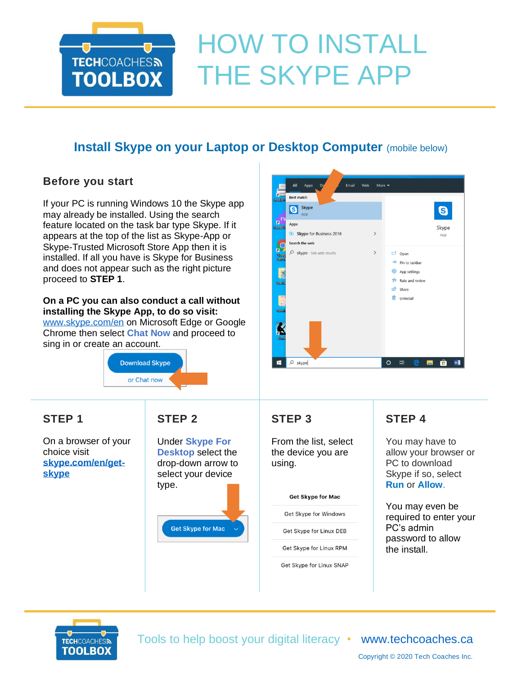

# HOW TO INSTALL THE SKYPE APP

# **Install Skype on your Laptop or Desktop Computer** (mobile below)

## **Before you start**

If your PC is running Windows 10 the Skype app may already be installed. Using the search feature located on the task bar type Skype. If it appears at the top of the list as Skype-App or Skype-Trusted Microsoft Store App then it is installed. If all you have is Skype for Business and does not appear such as the right picture proceed to **STEP 1**.

**On a PC you can also conduct a call without installing the Skype App, to do so visit:**  [www.skype.com/en](https://www.skype.com/en/) on Microsoft Edge or Google

Chrome then select **Chat Now** and proceed to sing in or create an account.



**STEP 1**

On a browser of your choice visit **[skype.com/en/get](https://www.skype.com/en/get-skype/)[skype](https://www.skype.com/en/get-skype/)**

## **STEP 2**

Under **Skype For Desktop** select the drop-down arrow to select your device type. **Get Skype for Mac** 



## **STEP 3**

From the list, select the device you are using.

#### Get Skype for Mac

Get Skype for Windows

Get Skype for Linux DEB

Get Skype for Linux RPM

Get Skype for Linux SNAP

## **STEP 4**

You may have to allow your browser or PC to download Skype if so, select **Run** or **Allow**.

You may even be required to enter your PC's admin password to allow the install.



Tools to help boost your digital literacy • [www.techcoaches.ca](http://www.techcoaches.ca/)

Copyright © 2020 Tech Coaches Inc.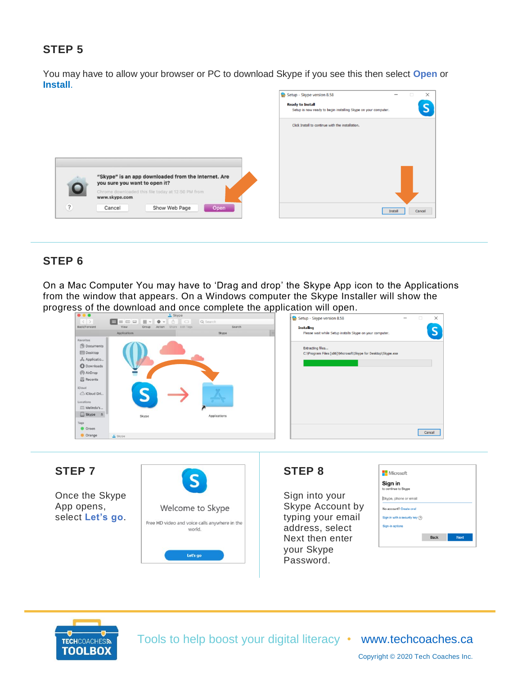## **STEP 5**

You may have to allow your browser or PC to download Skype if you see this then select **Open** or **Install**.



## **STEP 6**

On a Mac Computer You may have to 'Drag and drop' the Skype App icon to the Applications from the window that appears. On a Windows computer the Skype Installer will show the progress of the download and once complete the application will open.

|                           |                      |                       | <sup>o</sup> Skype                 |                    |                                                              |   |
|---------------------------|----------------------|-----------------------|------------------------------------|--------------------|--------------------------------------------------------------|---|
|                           | <b>1999</b>          |                       |                                    |                    | Setup - Skype version 8.58                                   | - |
| $\langle$<br>Back/Forward | $\equiv m =$<br>View | 图。<br>Group<br>Action | 春 · 白<br>$\Box$<br>Share Edit Tags | Q Search<br>Search |                                                              |   |
|                           |                      |                       |                                    |                    | <b>Installing</b>                                            |   |
|                           | Applications         |                       |                                    | Skype              | Please wait while Setup installs Skype on your computer.     |   |
| Favorites                 |                      |                       |                                    |                    |                                                              |   |
| Documents                 |                      |                       |                                    |                    | <b>Extracting files</b>                                      |   |
| Desktop                   |                      |                       |                                    |                    | C:\Program Files (x86)\Microsoft\Skype for Desktop\Skype.exe |   |
| Applicatio                |                      |                       |                                    |                    |                                                              |   |
| <b>O</b> Downloads        |                      |                       |                                    |                    |                                                              |   |
|                           |                      |                       |                                    |                    |                                                              |   |
| AirDrop                   |                      |                       |                                    |                    |                                                              |   |
| Recents                   |                      |                       |                                    |                    |                                                              |   |
| <b>iCloud</b>             |                      |                       |                                    |                    |                                                              |   |
| CiCloud Dri               |                      |                       |                                    |                    |                                                              |   |
|                           |                      |                       |                                    |                    |                                                              |   |
| Locations                 |                      |                       |                                    |                    |                                                              |   |
| Melinda's                 |                      |                       |                                    |                    |                                                              |   |
| $Skype$ $\triangle$       |                      | Skype                 |                                    | Applications       |                                                              |   |
| Tags                      |                      |                       |                                    |                    |                                                              |   |
| Green                     |                      |                       |                                    |                    |                                                              |   |
|                           |                      |                       |                                    |                    |                                                              |   |
| Orange                    | <b>B</b> Skype       |                       |                                    |                    |                                                              |   |

## **STEP 7**

Once the Skype App opens, select **Let's go**.



#### **STEP 8**

Sign into your Skype Account by typing your email address, select Next then enter your Skype Password.

| Sign in                         |  |
|---------------------------------|--|
| to continue to Skype            |  |
| Skype, phone or email           |  |
|                                 |  |
| No account? Create one!         |  |
| Sign in with a security key (?) |  |
|                                 |  |
| Sign-in options                 |  |



Tools to help boost your digital literacy • [www.techcoaches.ca](http://www.techcoaches.ca/)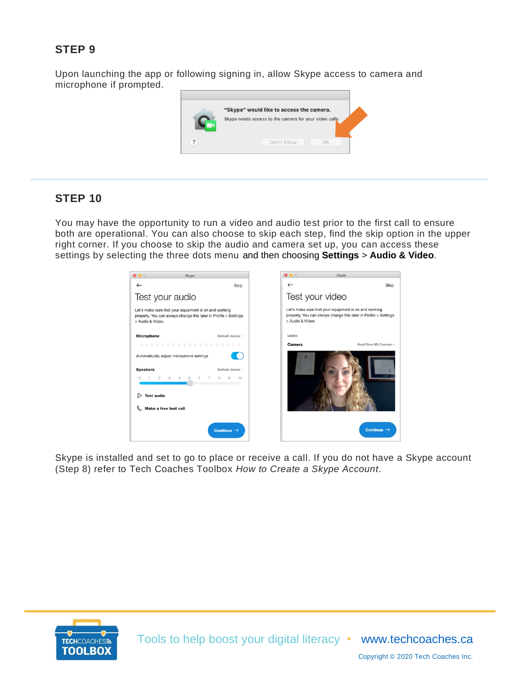## **STEP 9**

Upon launching the app or following signing in, allow Skype access to camera and microphone if prompted.



### **STEP 10**

You may have the opportunity to run a video and audio test prior to the first call to ensure both are operational. You can also choose to skip each step, find the skip option in the upper right corner. If you choose to skip the audio and camera set up, you can access these settings by selecting the three dots menu and then choosing **Settings** > **Audio & Video**.

| $\bullet\bullet\circ$<br>Skype                                                                                                                  |                                                                |                                                                                                                                               | Skype                  |
|-------------------------------------------------------------------------------------------------------------------------------------------------|----------------------------------------------------------------|-----------------------------------------------------------------------------------------------------------------------------------------------|------------------------|
| $\leftarrow$                                                                                                                                    | Skip                                                           | $\leftarrow$                                                                                                                                  | Skip                   |
| Test your audio                                                                                                                                 |                                                                | Test your video                                                                                                                               |                        |
| Let's make sure that your equipment is on and working<br>properly. You can always change this later in Profile > Settings<br>> Audio & Video.   |                                                                | Let's make sure that your equipment is on and working<br>properly. You can always change this later in Profile > Settings<br>> Audio & Video. |                        |
| <b>Microphone</b>                                                                                                                               | Default device $\vee$                                          | VIDEO                                                                                                                                         |                        |
| .                                                                                                                                               |                                                                | <b>Camera</b>                                                                                                                                 | FaceTime HD Camera V   |
| Automatically adjust microphone settings<br><b>Speakers</b><br>6<br>$3 \t 4 \t 5$<br>$\mathbf{2}$<br><b>Test audio</b><br>Make a free test call | Default device $\vee$<br>8<br>$\overline{7}$<br>10<br>$\Omega$ |                                                                                                                                               |                        |
|                                                                                                                                                 | Continue $\rightarrow$                                         |                                                                                                                                               | Continue $\rightarrow$ |

Skype is installed and set to go to place or receive a call. If you do not have a Skype account (Step 8) refer to Tech Coaches Toolbox *How to Create a Skype Account*.